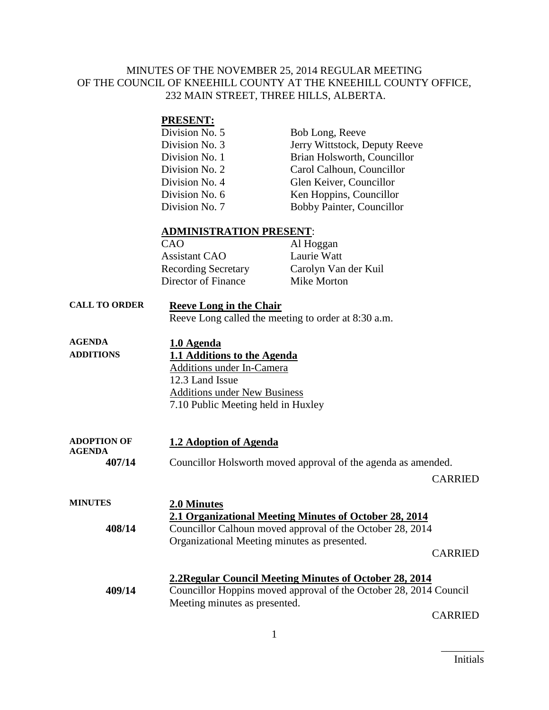#### MINUTES OF THE NOVEMBER 25, 2014 REGULAR MEETING OF THE COUNCIL OF KNEEHILL COUNTY AT THE KNEEHILL COUNTY OFFICE, 232 MAIN STREET, THREE HILLS, ALBERTA.

#### **PRESENT:**

| Division No. 5 | Bob Long, Reeve               |
|----------------|-------------------------------|
| Division No. 3 | Jerry Wittstock, Deputy Reeve |
| Division No. 1 | Brian Holsworth, Councillor   |
| Division No. 2 | Carol Calhoun, Councillor     |
| Division No. 4 | Glen Keiver, Councillor       |
| Division No. 6 | Ken Hoppins, Councillor       |
| Division No. 7 | Bobby Painter, Councillor     |

#### **ADMINISTRATION PRESENT**:

| Al Hoggan            |
|----------------------|
| Laurie Watt          |
| Carolyn Van der Kuil |
| Mike Morton          |
|                      |

#### **CALL TO ORDER Reeve Long in the Chair**

Reeve Long called the meeting to order at 8:30 a.m.

| <b>AGENDA</b>    | 1.0 Agenda                          |
|------------------|-------------------------------------|
| <b>ADDITIONS</b> | 1.1 Additions to the Agenda         |
|                  | <b>Additions under In-Camera</b>    |
|                  | 12.3 Land Issue                     |
|                  | <b>Additions under New Business</b> |
|                  | 7.10 Public Meeting held in Huxley  |
|                  |                                     |

#### **ADOPTION OF AGENDA 1.2 Adoption of Agenda**

**407/14** Councillor Holsworth moved approval of the agenda as amended.

CARRIED

| <b>MINUTES</b> | 2.0 Minutes                                                       |
|----------------|-------------------------------------------------------------------|
|                | 2.1 Organizational Meeting Minutes of October 28, 2014            |
| 408/14         | Councillor Calhoun moved approval of the October 28, 2014         |
|                | Organizational Meeting minutes as presented.                      |
|                | <b>CARRIED</b>                                                    |
|                | 2.2 Regular Council Meeting Minutes of October 28, 2014           |
| 409/14         | Councillor Hoppins moved approval of the October 28, 2014 Council |
|                | Meeting minutes as presented.                                     |

CARRIED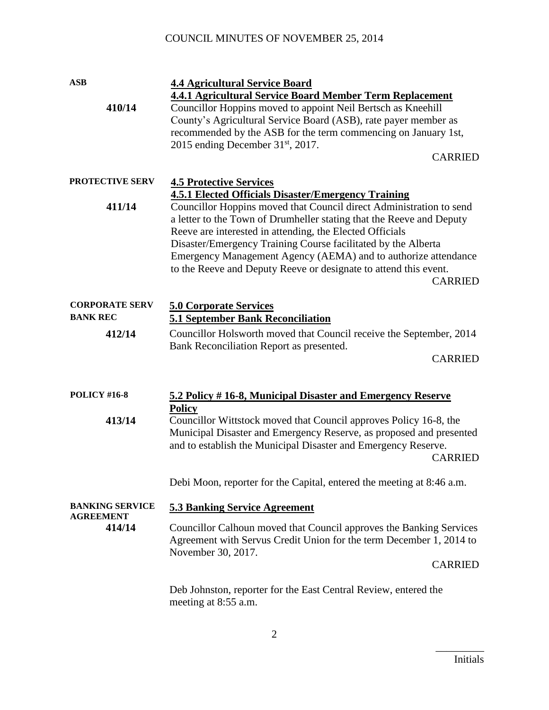| <b>ASB</b>                                 | <b>4.4 Agricultural Service Board</b>                                                                                                                                                                                                                                                                                                                                                                                                                                                          |  |
|--------------------------------------------|------------------------------------------------------------------------------------------------------------------------------------------------------------------------------------------------------------------------------------------------------------------------------------------------------------------------------------------------------------------------------------------------------------------------------------------------------------------------------------------------|--|
| 410/14                                     | <b>4.4.1 Agricultural Service Board Member Term Replacement</b><br>Councillor Hoppins moved to appoint Neil Bertsch as Kneehill<br>County's Agricultural Service Board (ASB), rate payer member as<br>recommended by the ASB for the term commencing on January 1st,<br>2015 ending December $31st$ , 2017.<br><b>CARRIED</b>                                                                                                                                                                  |  |
|                                            |                                                                                                                                                                                                                                                                                                                                                                                                                                                                                                |  |
| <b>PROTECTIVE SERV</b>                     | <b>4.5 Protective Services</b>                                                                                                                                                                                                                                                                                                                                                                                                                                                                 |  |
| 411/14                                     | <b>4.5.1 Elected Officials Disaster/Emergency Training</b><br>Councillor Hoppins moved that Council direct Administration to send<br>a letter to the Town of Drumheller stating that the Reeve and Deputy<br>Reeve are interested in attending, the Elected Officials<br>Disaster/Emergency Training Course facilitated by the Alberta<br>Emergency Management Agency (AEMA) and to authorize attendance<br>to the Reeve and Deputy Reeve or designate to attend this event.<br><b>CARRIED</b> |  |
| <b>CORPORATE SERV</b>                      | <b>5.0 Corporate Services</b>                                                                                                                                                                                                                                                                                                                                                                                                                                                                  |  |
| <b>BANK REC</b>                            | <b>5.1 September Bank Reconciliation</b>                                                                                                                                                                                                                                                                                                                                                                                                                                                       |  |
| 412/14                                     | Councillor Holsworth moved that Council receive the September, 2014<br>Bank Reconciliation Report as presented.<br><b>CARRIED</b>                                                                                                                                                                                                                                                                                                                                                              |  |
| <b>POLICY #16-8</b>                        | 5.2 Policy #16-8, Municipal Disaster and Emergency Reserve<br><b>Policy</b>                                                                                                                                                                                                                                                                                                                                                                                                                    |  |
| 413/14                                     | Councillor Wittstock moved that Council approves Policy 16-8, the<br>Municipal Disaster and Emergency Reserve, as proposed and presented<br>and to establish the Municipal Disaster and Emergency Reserve.<br><b>CARRIED</b>                                                                                                                                                                                                                                                                   |  |
|                                            | Debi Moon, reporter for the Capital, entered the meeting at 8:46 a.m.                                                                                                                                                                                                                                                                                                                                                                                                                          |  |
| <b>BANKING SERVICE</b><br><b>AGREEMENT</b> | <b>5.3 Banking Service Agreement</b>                                                                                                                                                                                                                                                                                                                                                                                                                                                           |  |
| 414/14                                     | Councillor Calhoun moved that Council approves the Banking Services<br>Agreement with Servus Credit Union for the term December 1, 2014 to<br>November 30, 2017.                                                                                                                                                                                                                                                                                                                               |  |
|                                            | <b>CARRIED</b>                                                                                                                                                                                                                                                                                                                                                                                                                                                                                 |  |
|                                            | Deb Johnston, reporter for the East Central Review, entered the<br>meeting at 8:55 a.m.                                                                                                                                                                                                                                                                                                                                                                                                        |  |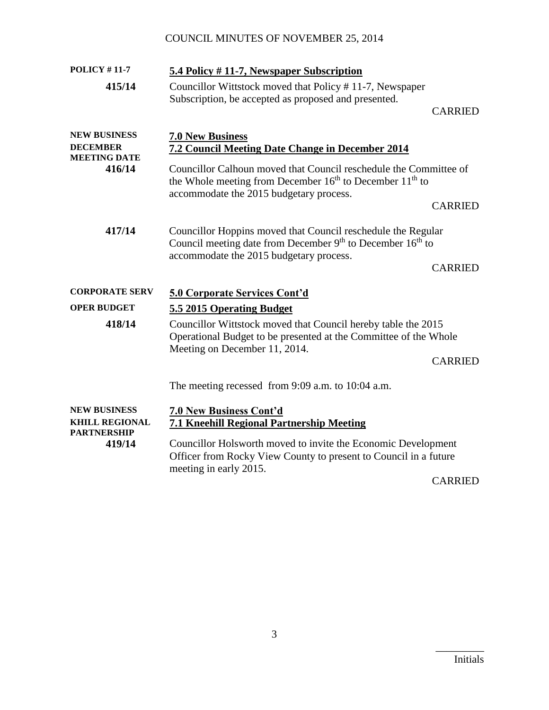| <b>POLICY #11-7</b>           | 5.4 Policy #11-7, Newspaper Subscription                                                                                                                                                         |
|-------------------------------|--------------------------------------------------------------------------------------------------------------------------------------------------------------------------------------------------|
| 415/14                        | Councillor Wittstock moved that Policy #11-7, Newspaper<br>Subscription, be accepted as proposed and presented.                                                                                  |
|                               | <b>CARRIED</b>                                                                                                                                                                                   |
| <b>NEW BUSINESS</b>           | <b>7.0 New Business</b>                                                                                                                                                                          |
| <b>DECEMBER</b>               | 7.2 Council Meeting Date Change in December 2014                                                                                                                                                 |
| <b>MEETING DATE</b><br>416/14 | Councillor Calhoun moved that Council reschedule the Committee of<br>the Whole meeting from December 16 <sup>th</sup> to December 11 <sup>th</sup> to<br>accommodate the 2015 budgetary process. |
|                               | <b>CARRIED</b>                                                                                                                                                                                   |
| 417/14                        | Councillor Hoppins moved that Council reschedule the Regular<br>Council meeting date from December 9 <sup>th</sup> to December 16 <sup>th</sup> to<br>accommodate the 2015 budgetary process.    |
|                               | <b>CARRIED</b>                                                                                                                                                                                   |
| <b>CORPORATE SERV</b>         | <b>5.0 Corporate Services Cont'd</b>                                                                                                                                                             |
| <b>OPER BUDGET</b>            | 5.5 2015 Operating Budget                                                                                                                                                                        |
| 418/14                        | Councillor Wittstock moved that Council hereby table the 2015<br>Operational Budget to be presented at the Committee of the Whole<br>Meeting on December 11, 2014.                               |
|                               | <b>CARRIED</b>                                                                                                                                                                                   |
|                               | The meeting recessed from 9:09 a.m. to 10:04 a.m.                                                                                                                                                |
| <b>NEW BUSINESS</b>           | <b>7.0 New Business Cont'd</b>                                                                                                                                                                   |
| <b>KHILL REGIONAL</b>         | <b>7.1 Kneehill Regional Partnership Meeting</b>                                                                                                                                                 |
| <b>PARTNERSHIP</b><br>419/14  | Councillor Holsworth moved to invite the Economic Development<br>Officer from Rocky View County to present to Council in a future<br>meeting in early 2015.                                      |

CARRIED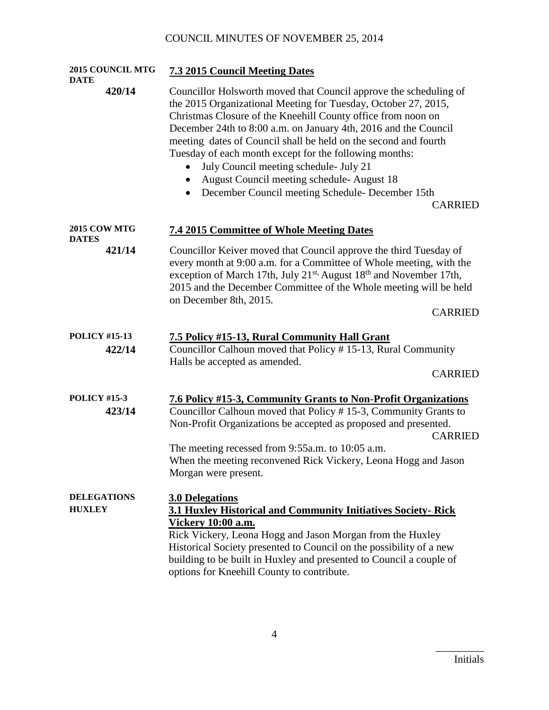| 2015 COUNCIL MTG<br><b>DATE</b>     | <b>7.3 2015 Council Meeting Dates</b>                                                                                                                                                                                                                                                                                                                                                                                                                                                                                                                            |
|-------------------------------------|------------------------------------------------------------------------------------------------------------------------------------------------------------------------------------------------------------------------------------------------------------------------------------------------------------------------------------------------------------------------------------------------------------------------------------------------------------------------------------------------------------------------------------------------------------------|
| 420/14                              | Councillor Holsworth moved that Council approve the scheduling of<br>the 2015 Organizational Meeting for Tuesday, October 27, 2015,<br>Christmas Closure of the Kneehill County office from noon on<br>December 24th to 8:00 a.m. on January 4th, 2016 and the Council<br>meeting dates of Council shall be held on the second and fourth<br>Tuesday of each month except for the following months:<br>July Council meeting schedule- July 21<br>August Council meeting schedule-August 18<br>December Council meeting Schedule- December 15th<br><b>CARRIED</b> |
| <b>2015 COW MTG</b><br><b>DATES</b> | <b>7.4 2015 Committee of Whole Meeting Dates</b>                                                                                                                                                                                                                                                                                                                                                                                                                                                                                                                 |
| 421/14                              | Councillor Keiver moved that Council approve the third Tuesday of<br>every month at 9:00 a.m. for a Committee of Whole meeting, with the<br>exception of March 17th, July 21 <sup>st,</sup> August 18 <sup>th</sup> and November 17th,<br>2015 and the December Committee of the Whole meeting will be held<br>on December 8th, 2015.<br><b>CARRIED</b>                                                                                                                                                                                                          |
| <b>POLICY #15-13</b>                | 7.5 Policy #15-13, Rural Community Hall Grant                                                                                                                                                                                                                                                                                                                                                                                                                                                                                                                    |
| 422/14                              | Councillor Calhoun moved that Policy #15-13, Rural Community<br>Halls be accepted as amended.<br><b>CARRIED</b>                                                                                                                                                                                                                                                                                                                                                                                                                                                  |
| <b>POLICY #15-3</b><br>423/14       | 7.6 Policy #15-3, Community Grants to Non-Profit Organizations<br>Councillor Calhoun moved that Policy #15-3, Community Grants to<br>Non-Profit Organizations be accepted as proposed and presented.<br><b>CARRIED</b><br>The meeting recessed from 9:55a.m. to 10:05 a.m.<br>When the meeting reconvened Rick Vickery, Leona Hogg and Jason                                                                                                                                                                                                                     |
| <b>DELEGATIONS</b><br><b>HUXLEY</b> | Morgan were present.<br><b>3.0 Delegations</b><br>3.1 Huxley Historical and Community Initiatives Society-Rick<br><b>Vickery 10:00 a.m.</b><br>Rick Vickery, Leona Hogg and Jason Morgan from the Huxley<br>Historical Society presented to Council on the possibility of a new<br>building to be built in Huxley and presented to Council a couple of<br>options for Kneehill County to contribute.                                                                                                                                                             |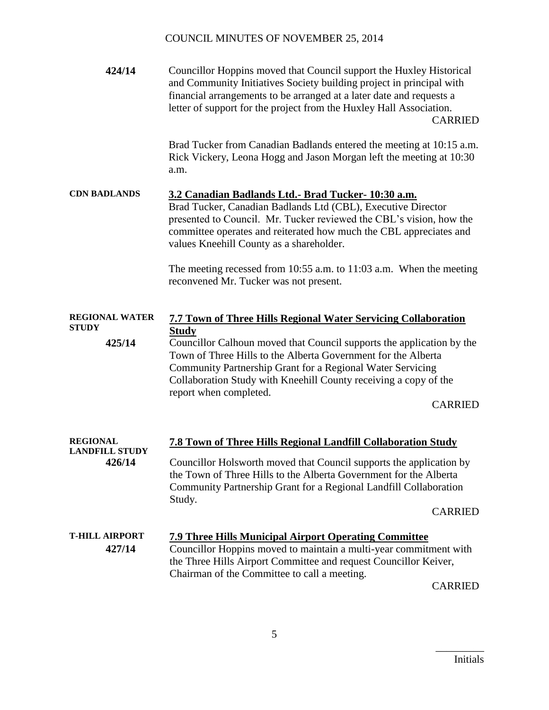| 424/14                          | Councillor Hoppins moved that Council support the Huxley Historical<br>and Community Initiatives Society building project in principal with<br>financial arrangements to be arranged at a later date and requests a<br>letter of support for the project from the Huxley Hall Association.                         | <b>CARRIED</b> |
|---------------------------------|--------------------------------------------------------------------------------------------------------------------------------------------------------------------------------------------------------------------------------------------------------------------------------------------------------------------|----------------|
|                                 | Brad Tucker from Canadian Badlands entered the meeting at 10:15 a.m.<br>Rick Vickery, Leona Hogg and Jason Morgan left the meeting at 10:30<br>a.m.                                                                                                                                                                |                |
| <b>CDN BADLANDS</b>             | 3.2 Canadian Badlands Ltd.- Brad Tucker- 10:30 a.m.<br>Brad Tucker, Canadian Badlands Ltd (CBL), Executive Director<br>presented to Council. Mr. Tucker reviewed the CBL's vision, how the<br>committee operates and reiterated how much the CBL appreciates and<br>values Kneehill County as a shareholder.       |                |
|                                 | The meeting recessed from $10:55$ a.m. to $11:03$ a.m. When the meeting<br>reconvened Mr. Tucker was not present.                                                                                                                                                                                                  |                |
| <b>REGIONAL WATER</b>           | <b>7.7 Town of Three Hills Regional Water Servicing Collaboration</b>                                                                                                                                                                                                                                              |                |
| <b>STUDY</b><br>425/14          | <b>Study</b><br>Councillor Calhoun moved that Council supports the application by the<br>Town of Three Hills to the Alberta Government for the Alberta<br>Community Partnership Grant for a Regional Water Servicing<br>Collaboration Study with Kneehill County receiving a copy of the<br>report when completed. | <b>CARRIED</b> |
| <b>REGIONAL</b>                 | <b>7.8 Town of Three Hills Regional Landfill Collaboration Study</b>                                                                                                                                                                                                                                               |                |
| <b>LANDFILL STUDY</b><br>426/14 | Councillor Holsworth moved that Council supports the application by<br>the Town of Three Hills to the Alberta Government for the Alberta<br>Community Partnership Grant for a Regional Landfill Collaboration<br>Study.                                                                                            |                |
|                                 |                                                                                                                                                                                                                                                                                                                    | <b>CARRIED</b> |
| <b>T-HILL AIRPORT</b><br>427/14 | <b>7.9 Three Hills Municipal Airport Operating Committee</b><br>Councillor Hoppins moved to maintain a multi-year commitment with<br>the Three Hills Airport Committee and request Councillor Keiver,<br>Chairman of the Committee to call a meeting.                                                              |                |
|                                 |                                                                                                                                                                                                                                                                                                                    | <b>CARRIED</b> |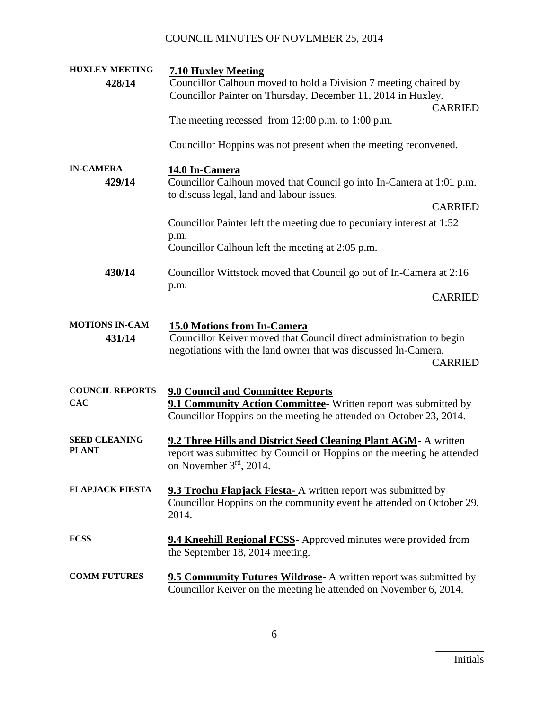| <b>HUXLEY MEETING</b>      | <b>7.10 Huxley Meeting</b>                                                                                                                   |
|----------------------------|----------------------------------------------------------------------------------------------------------------------------------------------|
| 428/14                     | Councillor Calhoun moved to hold a Division 7 meeting chaired by                                                                             |
|                            | Councillor Painter on Thursday, December 11, 2014 in Huxley.                                                                                 |
|                            | <b>CARRIED</b>                                                                                                                               |
|                            | The meeting recessed from 12:00 p.m. to 1:00 p.m.                                                                                            |
|                            | Councillor Hoppins was not present when the meeting reconvened.                                                                              |
| <b>IN-CAMERA</b><br>429/14 | 14.0 In-Camera<br>Councillor Calhoun moved that Council go into In-Camera at 1:01 p.m.                                                       |
|                            | to discuss legal, land and labour issues.                                                                                                    |
|                            | <b>CARRIED</b>                                                                                                                               |
|                            |                                                                                                                                              |
|                            | Councillor Painter left the meeting due to pecuniary interest at 1:52                                                                        |
|                            | p.m.<br>Councillor Calhoun left the meeting at 2:05 p.m.                                                                                     |
| 430/14                     | Councillor Wittstock moved that Council go out of In-Camera at 2:16                                                                          |
|                            | p.m.                                                                                                                                         |
|                            | <b>CARRIED</b>                                                                                                                               |
| <b>MOTIONS IN-CAM</b>      | <b>15.0 Motions from In-Camera</b>                                                                                                           |
| 431/14                     | Councillor Keiver moved that Council direct administration to begin                                                                          |
|                            | negotiations with the land owner that was discussed In-Camera.                                                                               |
|                            | <b>CARRIED</b>                                                                                                                               |
|                            |                                                                                                                                              |
| <b>COUNCIL REPORTS</b>     | <b>9.0 Council and Committee Reports</b>                                                                                                     |
| <b>CAC</b>                 | 9.1 Community Action Committee- Written report was submitted by                                                                              |
|                            | Councillor Hoppins on the meeting he attended on October 23, 2014.                                                                           |
| <b>SEED CLEANING</b>       | 9.2 Three Hills and District Seed Cleaning Plant AGM- A written                                                                              |
| <b>PLANT</b>               | report was submitted by Councillor Hoppins on the meeting he attended                                                                        |
|                            | on November 3rd, 2014.                                                                                                                       |
|                            |                                                                                                                                              |
| <b>FLAPJACK FIESTA</b>     | <b>9.3 Trochu Flapjack Fiesta-</b> A written report was submitted by                                                                         |
|                            | Councillor Hoppins on the community event he attended on October 29,<br>2014.                                                                |
|                            |                                                                                                                                              |
| <b>FCSS</b>                | <b>9.4 Kneehill Regional FCSS</b> - Approved minutes were provided from                                                                      |
|                            | the September 18, 2014 meeting.                                                                                                              |
|                            |                                                                                                                                              |
| <b>COMM FUTURES</b>        | <b>9.5 Community Futures Wildrose</b> A written report was submitted by<br>Councillor Keiver on the meeting he attended on November 6, 2014. |